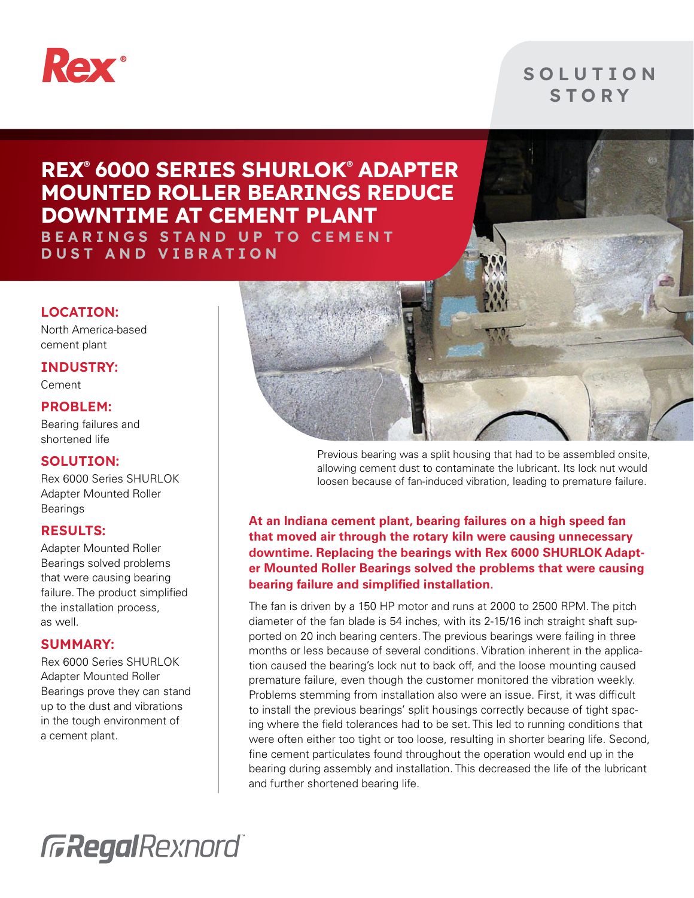

### **SOLUTION** S T O R Y

## REX® 6000 SERIES SHURLOK® ADAPTER MOUNTED ROLLER BEARINGS REDUCE DOWNTIME AT CEMENT PLANT

B E A R I N G S S T A N D U P T O C E M E N T DUST AND VIBRATION

#### LOCATION:

North America-based cement plant

#### INDUSTRY:

Cement

#### PROBLEM:

Bearing failures and shortened life

#### SOLUTION:

Rex 6000 Series SHURLOK Adapter Mounted Roller Bearings

#### RESULTS:

Adapter Mounted Roller Bearings solved problems that were causing bearing failure. The product simplified the installation process, as well.

#### SUMMARY:

Rex 6000 Series SHURLOK Adapter Mounted Roller Bearings prove they can stand up to the dust and vibrations in the tough environment of a cement plant.



Previous bearing was a split housing that had to be assembled onsite, allowing cement dust to contaminate the lubricant. Its lock nut would loosen because of fan-induced vibration, leading to premature failure.

**At an Indiana cement plant, bearing failures on a high speed fan that moved air through the rotary kiln were causing unnecessary downtime. Replacing the bearings with Rex 6000 SHURLOK Adapter Mounted Roller Bearings solved the problems that were causing bearing failure and simplified installation.**

The fan is driven by a 150 HP motor and runs at 2000 to 2500 RPM. The pitch diameter of the fan blade is 54 inches, with its 2-15/16 inch straight shaft supported on 20 inch bearing centers. The previous bearings were failing in three months or less because of several conditions. Vibration inherent in the application caused the bearing's lock nut to back off, and the loose mounting caused premature failure, even though the customer monitored the vibration weekly. Problems stemming from installation also were an issue. First, it was difficult to install the previous bearings' split housings correctly because of tight spacing where the field tolerances had to be set. This led to running conditions that were often either too tight or too loose, resulting in shorter bearing life. Second, fine cement particulates found throughout the operation would end up in the bearing during assembly and installation. This decreased the life of the lubricant and further shortened bearing life.

**GRegalRexnord**